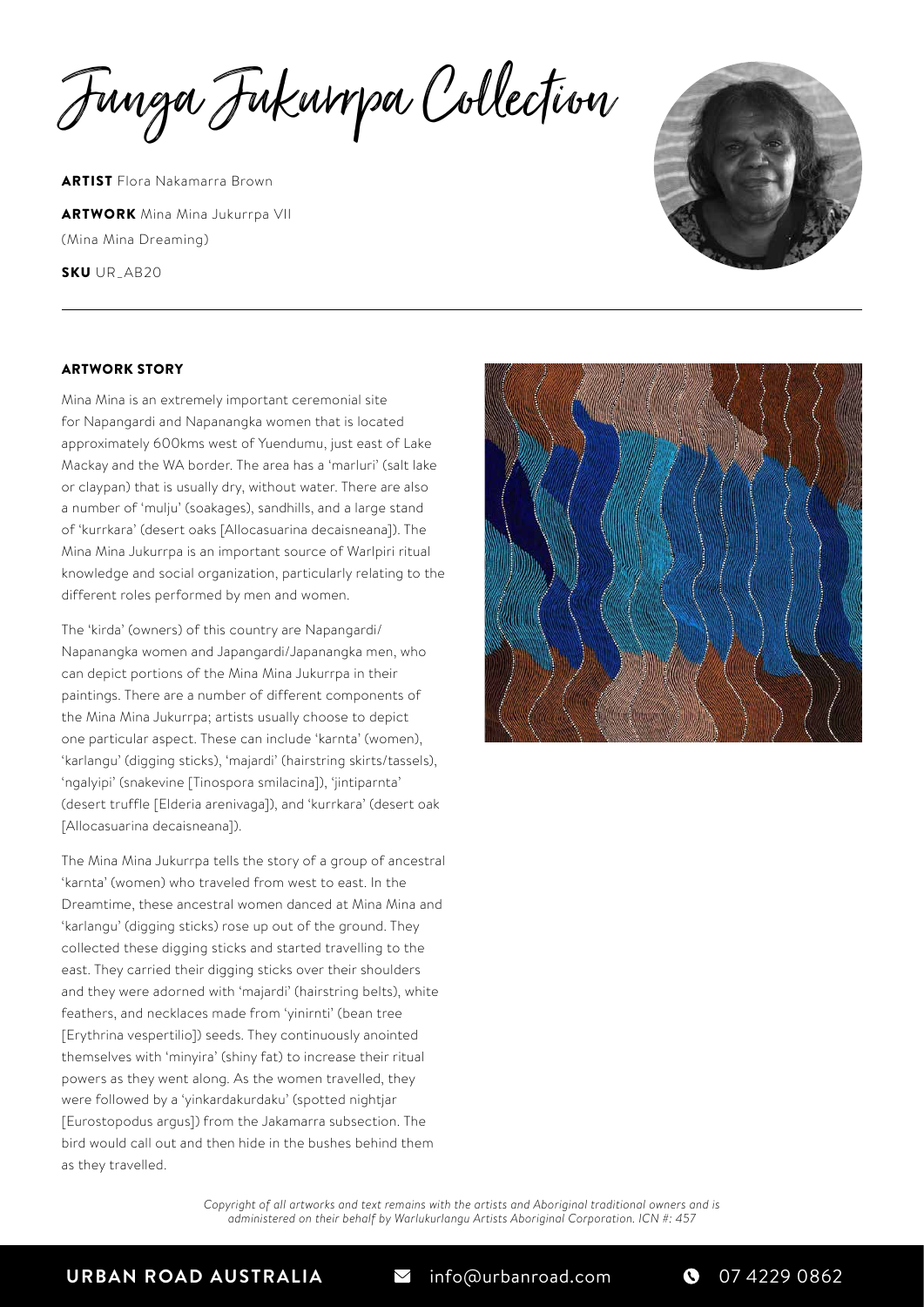Junga Jukurrpa Collection

ARTIST Flora Nakamarra Brown **ARTWORK** Mina Mina Jukurrpa VII (Mina Mina Dreaming)

SKU UR\_AB20



## ARTWORK STORY

Mina Mina is an extremely important ceremonial site for Napangardi and Napanangka women that is located approximately 600kms west of Yuendumu, just east of Lake Mackay and the WA border. The area has a 'marluri' (salt lake or claypan) that is usually dry, without water. There are also a number of 'mulju' (soakages), sandhills, and a large stand of 'kurrkara' (desert oaks [Allocasuarina decaisneana]). The Mina Mina Jukurrpa is an important source of Warlpiri ritual knowledge and social organization, particularly relating to the different roles performed by men and women.

The 'kirda' (owners) of this country are Napangardi/ Napanangka women and Japangardi/Japanangka men, who can depict portions of the Mina Mina Jukurrpa in their paintings. There are a number of different components of the Mina Mina Jukurrpa; artists usually choose to depict one particular aspect. These can include 'karnta' (women), 'karlangu' (digging sticks), 'majardi' (hairstring skirts/tassels), 'ngalyipi' (snakevine [Tinospora smilacina]), 'jintiparnta' (desert truffle [Elderia arenivaga]), and 'kurrkara' (desert oak [Allocasuarina decaisneana]).

The Mina Mina Jukurrpa tells the story of a group of ancestral 'karnta' (women) who traveled from west to east. In the Dreamtime, these ancestral women danced at Mina Mina and 'karlangu' (digging sticks) rose up out of the ground. They collected these digging sticks and started travelling to the east. They carried their digging sticks over their shoulders and they were adorned with 'majardi' (hairstring belts), white feathers, and necklaces made from 'yinirnti' (bean tree [Erythrina vespertilio]) seeds. They continuously anointed themselves with 'minyira' (shiny fat) to increase their ritual powers as they went along. As the women travelled, they were followed by a 'yinkardakurdaku' (spotted nightjar [Eurostopodus argus]) from the Jakamarra subsection. The bird would call out and then hide in the bushes behind them as they travelled.



*Copyright of all artworks and text remains with the artists and Aboriginal traditional owners and is administered on their behalf by Warlukurlangu Artists Aboriginal Corporation. ICN #: 457*